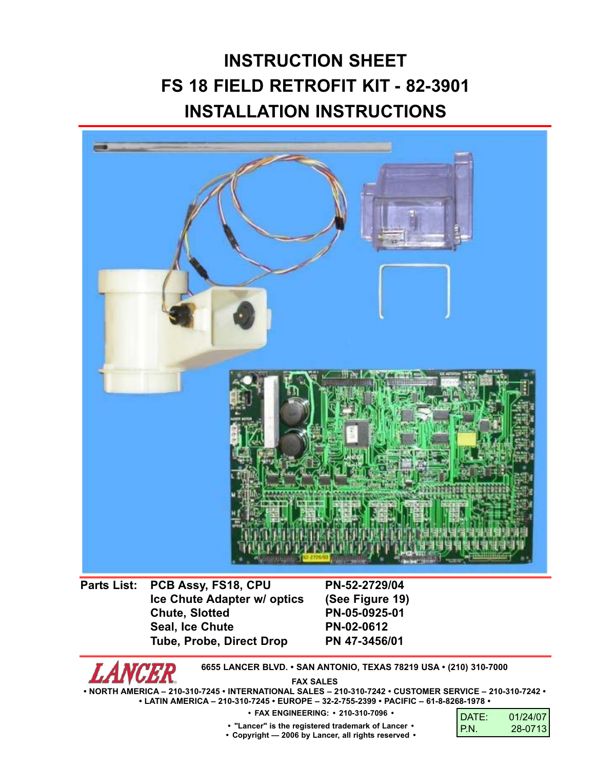# **INSTRUCTION SHEET FS 18 FIELD RETROFIT KIT - 82-3901 INSTALLATION INSTRUCTIONS**



**Parts List: PCB Assy, FS18, CPU PN-52-2729/04 Ice Chute Adapter w/ optics (See Figure 19) Chute, Slotted PN-05-0925-01** Seal, Ice Chute **PN-02-0612 Tube, Probe, Direct Drop PN 47-3456/01**

**6655 LANCER BLVD. • SAN ANTONIO, TEXAS 78219 USA • (210) 310-7000**

**FAX SALES**

**• NORTH AMERICA – 210-310-7245 • INTERNATIONAL SALES – 210-310-7242 • CUSTOMER SERVICE – 210-310-7242 • • LATIN AMERICA – 210-310-7245 • EUROPE – 32-2-755-2399 • PACIFIC – 61-8-8268-1978 •**

**• FAX ENGINEERING: • 210-310-7096 •**

| DATE: | 01/24/07 |
|-------|----------|
| IP.N. | 28-0713  |

**• "Lancer" is the registered trademark of Lancer •**

**• Copyright — 2006 by Lancer, all rights reserved •**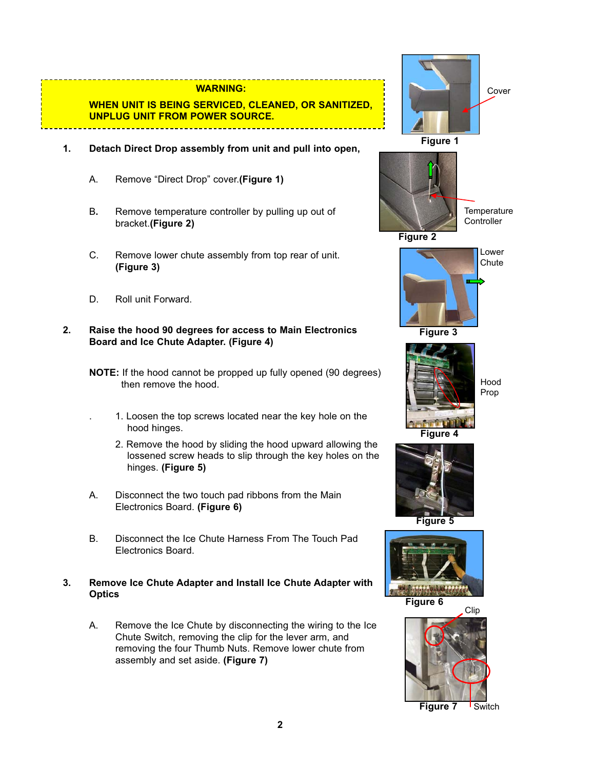#### **WARNING:**

## **WHEN UNIT IS BEING SERVICED, CLEANED, OR SANITIZED, UNPLUG UNIT FROM POWER SOURCE.**

- **1. Detach Direct Drop assembly from unit and pull into open,**
	- A. Remove "Direct Drop" cover.**(Figure 1)**
	- B**.** Remove temperature controller by pulling up out of bracket.**(Figure 2)**
	- C. Remove lower chute assembly from top rear of unit. **(Figure 3)**
	- D. Roll unit Forward.

#### **2. Raise the hood 90 degrees for access to Main Electronics Board and Ice Chute Adapter. (Figure 4)**

- **NOTE:** If the hood cannot be propped up fully opened (90 degrees) then remove the hood.
	- . 1. Loosen the top screws located near the key hole on the hood hinges.
		- 2. Remove the hood by sliding the hood upward allowing the lossened screw heads to slip through the key holes on the hinges. **(Figure 5)**
- A. Disconnect the two touch pad ribbons from the Main Electronics Board. **(Figure 6)**
- B. Disconnect the Ice Chute Harness From The Touch Pad Electronics Board.
- **3. Remove Ice Chute Adapter and Install Ice Chute Adapter with Optics**
	- A. Remove the Ice Chute by disconnecting the wiring to the Ice Chute Switch, removing the clip for the lever arm, and removing the four Thumb Nuts. Remove lower chute from assembly and set aside. **(Figure 7)**

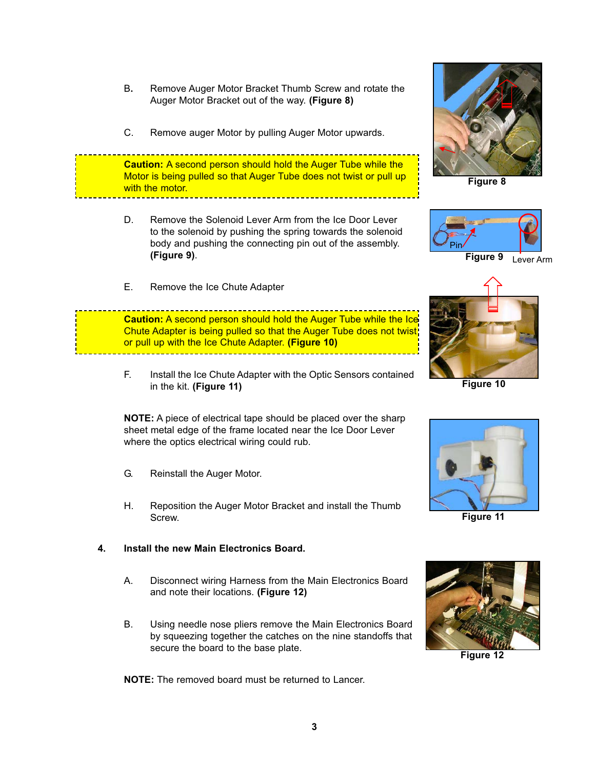- B**.** Remove Auger Motor Bracket Thumb Screw and rotate the Auger Motor Bracket out of the way. **(Figure 8)**
- C. Remove auger Motor by pulling Auger Motor upwards.

**Caution:** A second person should hold the Auger Tube while the Motor is being pulled so that Auger Tube does not twist or pull up with the motor.

- D. Remove the Solenoid Lever Arm from the Ice Door Lever to the solenoid by pushing the spring towards the solenoid body and pushing the connecting pin out of the assembly. **(Figure 9)**.
- E. Remove the Ice Chute Adapter

**Caution:** A second person should hold the Auger Tube while the Ice Chute Adapter is being pulled so that the Auger Tube does not twist or pull up with the Ice Chute Adapter. **(Figure 10)**

F. Install the Ice Chute Adapter with the Optic Sensors contained in the kit. **(Figure 11)**

**NOTE:** A piece of electrical tape should be placed over the sharp sheet metal edge of the frame located near the Ice Door Lever where the optics electrical wiring could rub.

- G. Reinstall the Auger Motor.
- H. Reposition the Auger Motor Bracket and install the Thumb Screw.

## **4. Install the new Main Electronics Board.**

- A. Disconnect wiring Harness from the Main Electronics Board and note their locations. **(Figure 12)**
- B. Using needle nose pliers remove the Main Electronics Board by squeezing together the catches on the nine standoffs that secure the board to the base plate.

**NOTE:** The removed board must be returned to Lancer.



**Figure 8**





**Figure 10**



**Figure 11**



**Figure 12**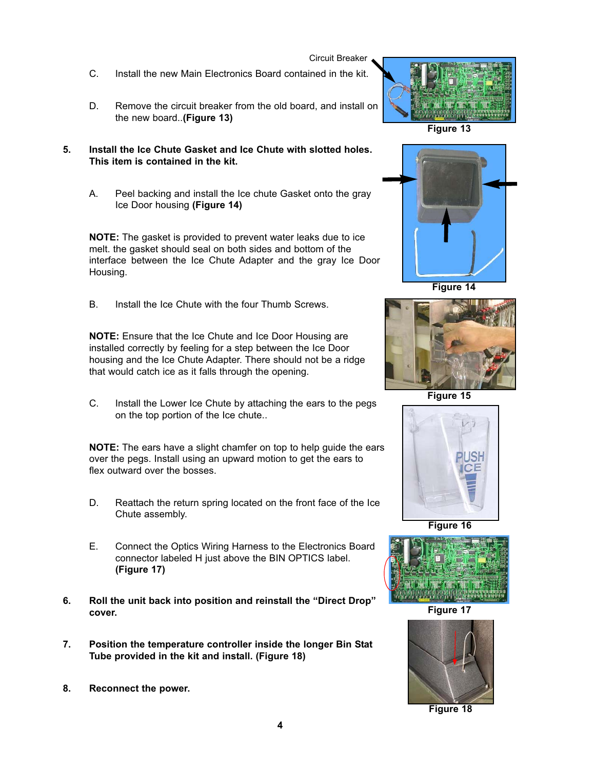Circuit Breaker

- C. Install the new Main Electronics Board contained in the kit.
- D. Remove the circuit breaker from the old board, and install on the new board..**(Figure 13)**
- **5. Install the Ice Chute Gasket and Ice Chute with slotted holes. This item is contained in the kit.**
	- A. Peel backing and install the Ice chute Gasket onto the gray Ice Door housing **(Figure 14)**

**NOTE:** The gasket is provided to prevent water leaks due to ice melt. the gasket should seal on both sides and bottom of the interface between the Ice Chute Adapter and the gray Ice Door Housing.

B. Install the Ice Chute with the four Thumb Screws.

**NOTE:** Ensure that the Ice Chute and Ice Door Housing are installed correctly by feeling for a step between the Ice Door housing and the Ice Chute Adapter. There should not be a ridge that would catch ice as it falls through the opening.

C. Install the Lower Ice Chute by attaching the ears to the pegs on the top portion of the Ice chute..

**NOTE:** The ears have a slight chamfer on top to help guide the ears over the pegs. Install using an upward motion to get the ears to flex outward over the bosses.

- D. Reattach the return spring located on the front face of the Ice Chute assembly.
- E. Connect the Optics Wiring Harness to the Electronics Board connector labeled H just above the BIN OPTICS label. **(Figure 17)**
- **6. Roll the unit back into position and reinstall the "Direct Drop" cover.**
- **7. Position the temperature controller inside the longer Bin Stat Tube provided in the kit and install. (Figure 18)**
- **8. Reconnect the power.**



**Figure 13**



**Figure 14**



**Figure 15**



**Figure 16**



**Figure 17**



**Figure 18**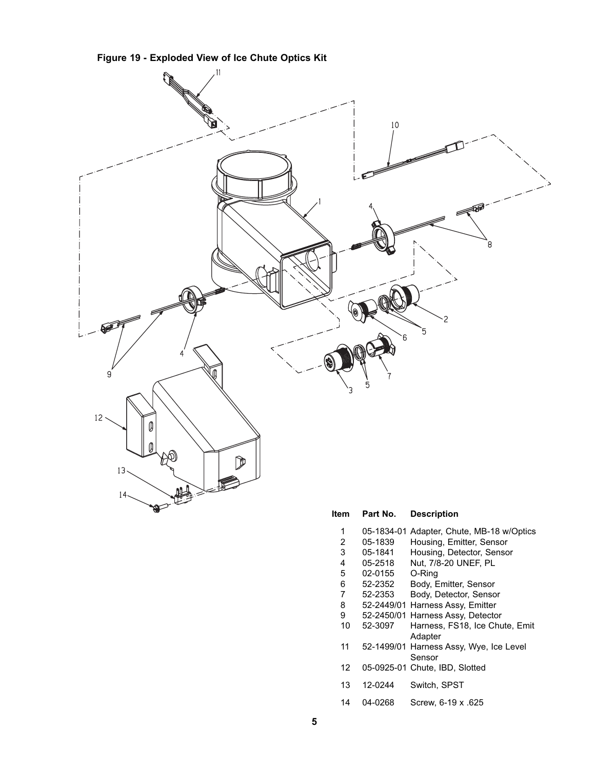



| ,,,,           | <b>Γαιι ινυ.</b> | DESCRIPTION                                       |
|----------------|------------------|---------------------------------------------------|
| 1              | 05-1834-01       | Adapter, Chute, MB-18 w/Optics                    |
| $\overline{2}$ | 05-1839          | Housing, Emitter, Sensor                          |
| 3              | 05-1841          | Housing, Detector, Sensor                         |
| 4              | 05-2518          | Nut, 7/8-20 UNEF, PL                              |
| 5              | 02-0155          | O-Ring                                            |
| 6              | 52-2352          | Body, Emitter, Sensor                             |
| 7              | 52-2353          | Body, Detector, Sensor                            |
| 8              |                  | 52-2449/01 Harness Assy, Emitter                  |
| 9              |                  | 52-2450/01 Harness Assy, Detector                 |
| 10             | 52-3097          | Harness, FS18, Ice Chute, Emit<br>Adapter         |
| 11             |                  | 52-1499/01 Harness Assy, Wye, Ice Level<br>Sensor |
| 12             |                  | 05-0925-01 Chute, IBD, Slotted                    |
| 13             | 12-0244          | Switch, SPST                                      |
| 14             | 04-0268          | Screw, 6-19 x .625                                |